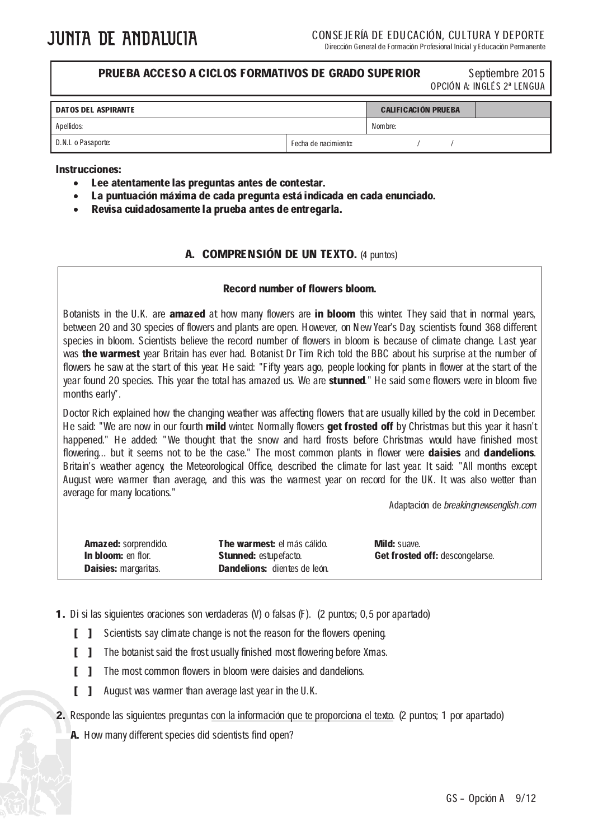l

#### **PRUEBA ACCESO A CICLOS FORMATIVOS DE GRADO SUPERIOR** Septiembre 2015

OPCIÓN A: INGLÉS 2ª LENGUA

| <b>DATOS DEL ASPIRANTE</b> |                      | <b>CALIFICACIÓN PRUEBA</b> |  |  |  |
|----------------------------|----------------------|----------------------------|--|--|--|
| Apellidos:                 |                      | Nombre:                    |  |  |  |
| D.N.I. o Pasaporte:        | Fecha de nacimiento: |                            |  |  |  |

# Instrucciones:

Ξ

- Lee atentamente las preguntas antes de contestar.
- La puntuación máxima de cada pregunta está indicada en cada enunciado.
- Revisa cuidadosamente la prueba antes de entregarla.

### A. COMPRENSIÓN DE UN TEXTO. (4 puntos)

## Record number of flowers bloom.

Botanists in the U.K. are **amazed** at how many flowers are in bloom this winter. They said that in normal years, between 20 and 30 species of flowers and plants are open. However, on New Year's Day, scientists found 368 different species in bloom. Scientists believe the record number of flowers in bloom is because of climate change. Last year was the warmest year Britain has ever had. Botanist Dr Tim Rich told the BBC about his surprise at the number of flowers he saw at the start of this year. He said: "Fifty years ago, people looking for plants in flower at the start of the year found 20 species. This year the total has amazed us. We are stunned." He said some flowers were in bloom five months early".

Doctor Rich explained how the changing weather was affecting flowers that are usually killed by the cold in December. He said: "We are now in our fourth mild winter. Normally flowers get frosted off by Christmas but this year it hasn't happened." He added: "We thought that the snow and hard frosts before Christmas would have finished most flowering... but it seems not to be the case." The most common plants in flower were **daisies** and **dandelions**. Britain's weather agency, the Meteorological Office, described the climate for last year. It said: "All months except August were warmer than average, and this was the warmest year on record for the UK. It was also wetter than average for many locations."

Adaptación de breakingnewsenglish.com

| <b>Amazed:</b> sorprendido. | The warmest: el más cálido.         | <b>Mild:</b> suave.             |
|-----------------------------|-------------------------------------|---------------------------------|
| In bloom: en flor.          | <b>Stunned:</b> estupefacto.        | Get frosted off: descongelarse. |
| <b>Daisies: margaritas.</b> | <b>Dandelions:</b> dientes de león. |                                 |

- 1. Di si las siguientes oraciones son verdaderas (V) o falsas (F). (2 puntos; 0,5 por apartado)
	- [ ] Scientists say climate change is not the reason for the flowers opening.
	- [ ] The botanist said the frost usually finished most flowering before Xmas.
	- **[ ]** The most common flowers in bloom were daisies and dandelions.
	- [ ] August was warmer than average last year in the U.K.
- 2. Responde las siguientes preguntas con la información que te proporciona el texto. (2 puntos; 1 por apartado)
	- A. How many different species did scientists find open?